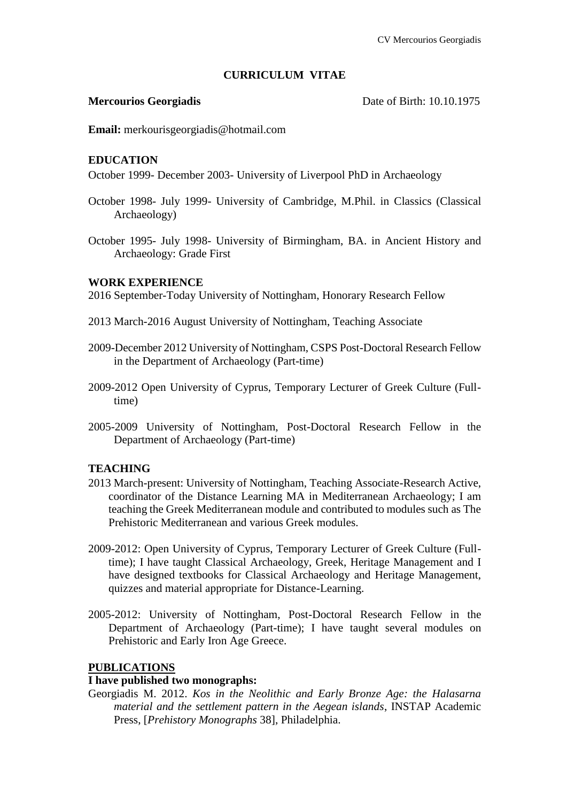# **CURRICULUM VITAE**

**Mercourios Georgiadis** Date of Birth: 10.10.1975

**Email:** merkourisgeorgiadis@hotmail.com

# **EDUCATION**

October 1999- December 2003- University of Liverpool PhD in Archaeology

- October 1998- July 1999- University of Cambridge, M.Phil. in Classics (Classical Archaeology)
- October 1995- July 1998- University of Birmingham, BA. in Ancient History and Archaeology: Grade First

# **WORK EXPERIENCE**

2016 September-Today University of Nottingham, Honorary Research Fellow

- 2013 March-2016 August University of Nottingham, Teaching Associate
- 2009-December 2012 University of Nottingham, CSPS Post-Doctoral Research Fellow in the Department of Archaeology (Part-time)
- 2009-2012 Open University of Cyprus, Temporary Lecturer of Greek Culture (Fulltime)
- 2005-2009 University of Nottingham, Post-Doctoral Research Fellow in the Department of Archaeology (Part-time)

# **TEACHING**

- 2013 March-present: University of Nottingham, Teaching Associate-Research Active, coordinator of the Distance Learning MA in Mediterranean Archaeology; I am teaching the Greek Mediterranean module and contributed to modules such as The Prehistoric Mediterranean and various Greek modules.
- 2009-2012: Open University of Cyprus, Temporary Lecturer of Greek Culture (Fulltime); I have taught Classical Archaeology, Greek, Heritage Management and I have designed textbooks for Classical Archaeology and Heritage Management, quizzes and material appropriate for Distance-Learning.
- 2005-2012: University of Nottingham, Post-Doctoral Research Fellow in the Department of Archaeology (Part-time); I have taught several modules on Prehistoric and Early Iron Age Greece.

# **PUBLICATIONS**

# **I have published two monographs:**

Georgiadis M. 2012. *Kos in the Neolithic and Early Bronze Age: the Halasarna material and the settlement pattern in the Aegean islands*, INSTAP Academic Press, [*Prehistory Monographs* 38], Philadelphia.